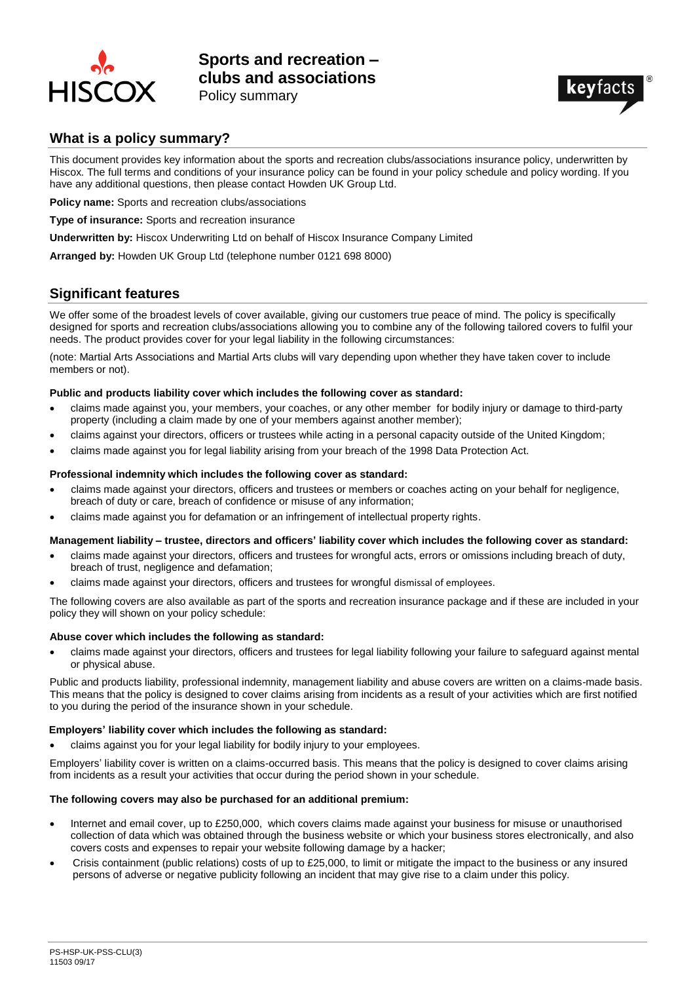



## **What is a policy summary?**

This document provides key information about the sports and recreation clubs/associations insurance policy, underwritten by Hiscox. The full terms and conditions of your insurance policy can be found in your policy schedule and policy wording. If you have any additional questions, then please contact Howden UK Group Ltd.

**Policy name:** Sports and recreation clubs/associations

**Type of insurance:** Sports and recreation insurance

**Underwritten by:** Hiscox Underwriting Ltd on behalf of Hiscox Insurance Company Limited

**Arranged by:** Howden UK Group Ltd (telephone number 0121 698 8000)

## **Significant features**

We offer some of the broadest levels of cover available, giving our customers true peace of mind. The policy is specifically designed for sports and recreation clubs/associations allowing you to combine any of the following tailored covers to fulfil your needs. The product provides cover for your legal liability in the following circumstances:

(note: Martial Arts Associations and Martial Arts clubs will vary depending upon whether they have taken cover to include members or not).

#### **Public and products liability cover which includes the following cover as standard:**

- claims made against you, your members, your coaches, or any other member for bodily injury or damage to third-party property (including a claim made by one of your members against another member);
- claims against your directors, officers or trustees while acting in a personal capacity outside of the United Kingdom;
- claims made against you for legal liability arising from your breach of the 1998 Data Protection Act.

#### **Professional indemnity which includes the following cover as standard:**

- claims made against your directors, officers and trustees or members or coaches acting on your behalf for negligence, breach of duty or care, breach of confidence or misuse of any information;
- claims made against you for defamation or an infringement of intellectual property rights.

### **Management liability – trustee, directors and officers' liability cover which includes the following cover as standard:**

- claims made against your directors, officers and trustees for wrongful acts, errors or omissions including breach of duty, breach of trust, negligence and defamation;
- claims made against your directors, officers and trustees for wrongful dismissal of employees.

The following covers are also available as part of the sports and recreation insurance package and if these are included in your policy they will shown on your policy schedule:

### **Abuse cover which includes the following as standard:**

• claims made against your directors, officers and trustees for legal liability following your failure to safeguard against mental or physical abuse.

Public and products liability, professional indemnity, management liability and abuse covers are written on a claims*-*made basis. This means that the policy is designed to cover claims arising from incidents as a result of your activities which are first notified to you during the period of the insurance shown in your schedule.

#### **Employers' liability cover which includes the following as standard:**

• claims against you for your legal liability for bodily injury to your employees.

Employers' liability cover is written on a claims-occurred basis. This means that the policy is designed to cover claims arising from incidents as a result your activities that occur during the period shown in your schedule.

### **The following covers may also be purchased for an additional premium:**

- Internet and email cover, up to £250,000, which covers claims made against your business for misuse or unauthorised collection of data which was obtained through the business website or which your business stores electronically, and also covers costs and expenses to repair your website following damage by a hacker;
- Crisis containment (public relations) costs of up to £25,000, to limit or mitigate the impact to the business or any insured persons of adverse or negative publicity following an incident that may give rise to a claim under this policy.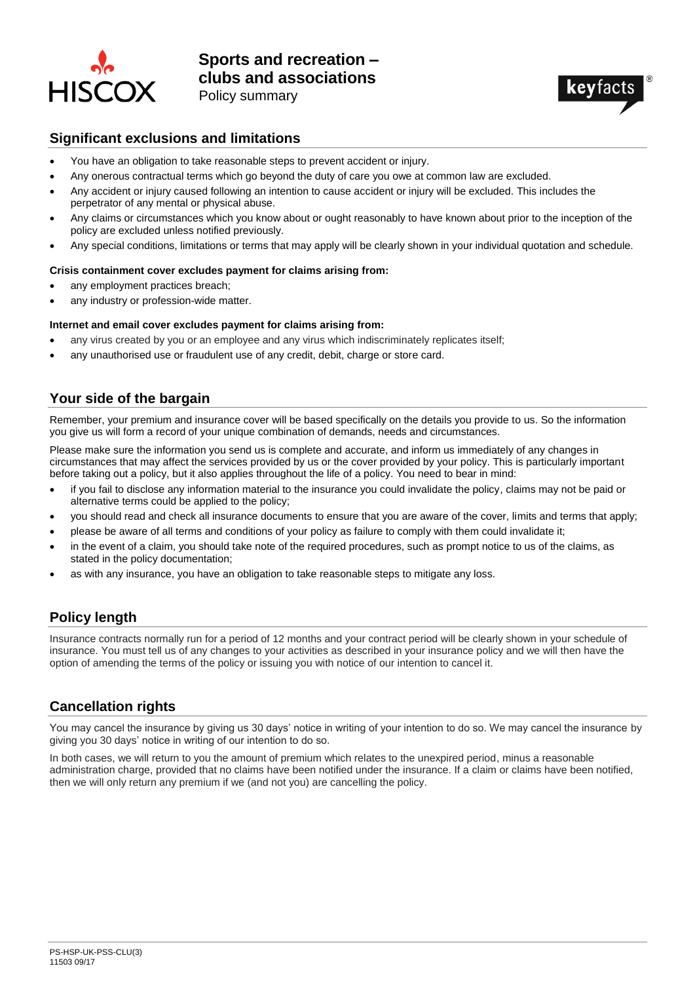



## **Significant exclusions and limitations**

- You have an obligation to take reasonable steps to prevent accident or injury.
- Any onerous contractual terms which go beyond the duty of care you owe at common law are excluded.
- Any accident or injury caused following an intention to cause accident or injury will be excluded. This includes the perpetrator of any mental or physical abuse.
- Any claims or circumstances which you know about or ought reasonably to have known about prior to the inception of the policy are excluded unless notified previously.
- Any special conditions, limitations or terms that may apply will be clearly shown in your individual quotation and schedule.

### **Crisis containment cover excludes payment for claims arising from:**

- any employment practices breach;
- any industry or profession-wide matter.

### **Internet and email cover excludes payment for claims arising from:**

- any virus created by you or an employee and any virus which indiscriminately replicates itself:
- any unauthorised use or fraudulent use of any credit, debit, charge or store card.

## **Your side of the bargain**

Remember, your premium and insurance cover will be based specifically on the details you provide to us. So the information you give us will form a record of your unique combination of demands, needs and circumstances.

Please make sure the information you send us is complete and accurate, and inform us immediately of any changes in circumstances that may affect the services provided by us or the cover provided by your policy. This is particularly important before taking out a policy, but it also applies throughout the life of a policy. You need to bear in mind:

- if you fail to disclose any information material to the insurance you could invalidate the policy, claims may not be paid or alternative terms could be applied to the policy;
- you should read and check all insurance documents to ensure that you are aware of the cover, limits and terms that apply;
- please be aware of all terms and conditions of your policy as failure to comply with them could invalidate it;
- in the event of a claim, you should take note of the required procedures, such as prompt notice to us of the claims, as stated in the policy documentation;
- as with any insurance, you have an obligation to take reasonable steps to mitigate any loss.

## **Policy length**

Insurance contracts normally run for a period of 12 months and your contract period will be clearly shown in your schedule of insurance. You must tell us of any changes to your activities as described in your insurance policy and we will then have the option of amending the terms of the policy or issuing you with notice of our intention to cancel it.

## **Cancellation rights**

You may cancel the insurance by giving us 30 days' notice in writing of your intention to do so. We may cancel the insurance by giving you 30 days' notice in writing of our intention to do so.

In both cases, we will return to you the amount of premium which relates to the unexpired period, minus a reasonable administration charge, provided that no claims have been notified under the insurance. If a claim or claims have been notified, then we will only return any premium if we (and not you) are cancelling the policy.